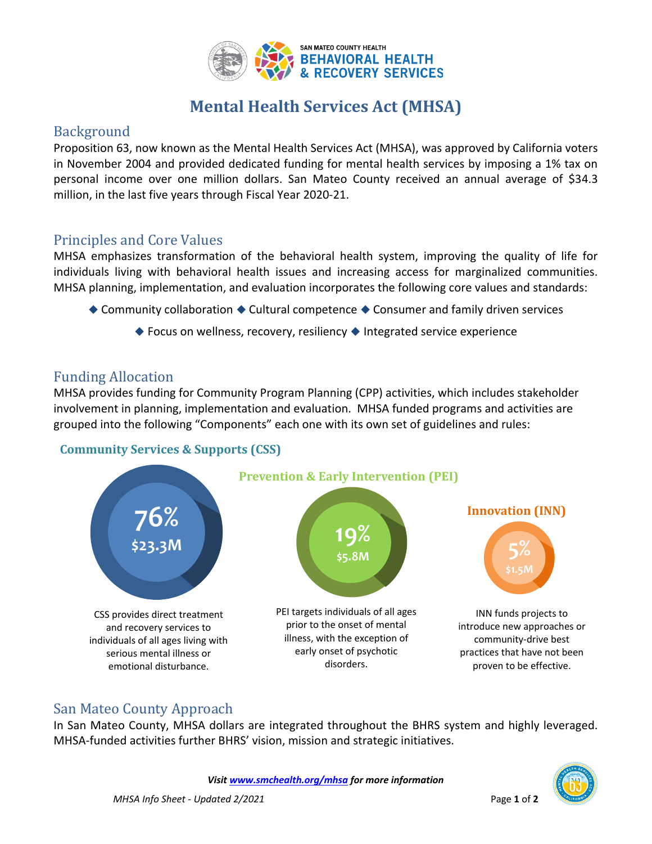

# **Mental Health Services Act (MHSA)**

#### Background

Proposition 63, now known as the Mental Health Services Act (MHSA), was approved by California voters in November 2004 and provided dedicated funding for mental health services by imposing a 1% tax on personal income over one million dollars. San Mateo County received an annual average of \$34.3 million, in the last five years through Fiscal Year 2020-21.

#### Principles and Core Values

MHSA emphasizes transformation of the behavioral health system, improving the quality of life for individuals living with behavioral health issues and increasing access for marginalized communities. MHSA planning, implementation, and evaluation incorporates the following core values and standards:

- ◆ Community collaboration ◆ Cultural competence ◆ Consumer and family driven services
	- ◆ Focus on wellness, recovery, resiliency ◆ Integrated service experience

### Funding Allocation

MHSA provides funding for Community Program Planning (CPP) activities, which includes stakeholder involvement in planning, implementation and evaluation. MHSA funded programs and activities are grouped into the following "Components" each one with its own set of guidelines and rules:

#### **Community Services & Supports (CSS)**



### San Mateo County Approach

In San Mateo County, MHSA dollars are integrated throughout the BHRS system and highly leveraged. MHSA-funded activities further BHRS' vision, mission and strategic initiatives.

*Visi[t www.smchealth.org/mhsa](http://www.smchealth.org/mhsa) for more information*